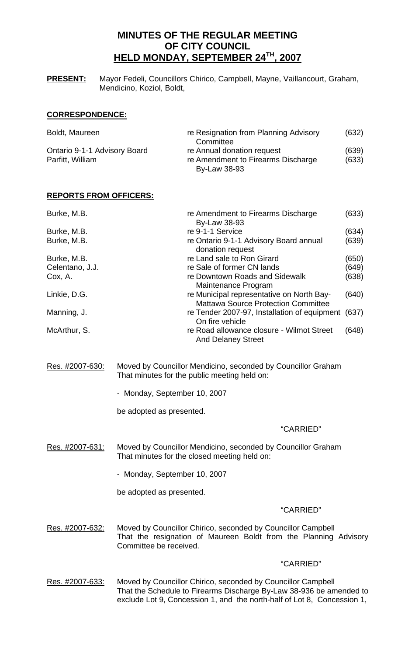# **MINUTES OF THE REGULAR MEETING OF CITY COUNCIL HELD MONDAY, SEPTEMBER 24TH, 2007**

**PRESENT:** Mayor Fedeli, Councillors Chirico, Campbell, Mayne, Vaillancourt, Graham, Mendicino, Koziol, Boldt,

# **CORRESPONDENCE:**

| Boldt, Maureen               | re Resignation from Planning Advisory | (632) |
|------------------------------|---------------------------------------|-------|
|                              | Committee                             |       |
| Ontario 9-1-1 Advisory Board | re Annual donation request            | (639) |
| Parfitt, William             | re Amendment to Firearms Discharge    | (633) |
|                              | By-Law 38-93                          |       |

# **REPORTS FROM OFFICERS:**

| Burke, M.B.     | re Amendment to Firearms Discharge<br><b>By-Law 38-93</b>                               | (633) |
|-----------------|-----------------------------------------------------------------------------------------|-------|
| Burke, M.B.     | re 9-1-1 Service                                                                        | (634) |
| Burke, M.B.     | re Ontario 9-1-1 Advisory Board annual<br>donation request                              | (639) |
| Burke, M.B.     | re Land sale to Ron Girard                                                              | (650) |
| Celentano, J.J. | re Sale of former CN lands                                                              | (649) |
| Cox, A.         | re Downtown Roads and Sidewalk<br>Maintenance Program                                   | (638) |
| Linkie, D.G.    | re Municipal representative on North Bay-<br><b>Mattawa Source Protection Committee</b> | (640) |
| Manning, J.     | re Tender 2007-97, Installation of equipment<br>On fire vehicle                         | (637) |
| McArthur, S.    | re Road allowance closure - Wilmot Street<br><b>And Delaney Street</b>                  | (648) |

Res. #2007-630: Moved by Councillor Mendicino, seconded by Councillor Graham That minutes for the public meeting held on:

- Monday, September 10, 2007

be adopted as presented.

# "CARRIED"

Res. #2007-631: Moved by Councillor Mendicino, seconded by Councillor Graham That minutes for the closed meeting held on:

- Monday, September 10, 2007

be adopted as presented.

# "CARRIED"

Res. #2007-632: Moved by Councillor Chirico, seconded by Councillor Campbell That the resignation of Maureen Boldt from the Planning Advisory Committee be received.

### "CARRIED"

Res. #2007-633: Moved by Councillor Chirico, seconded by Councillor Campbell That the Schedule to Firearms Discharge By-Law 38-936 be amended to exclude Lot 9, Concession 1, and the north-half of Lot 8, Concession 1,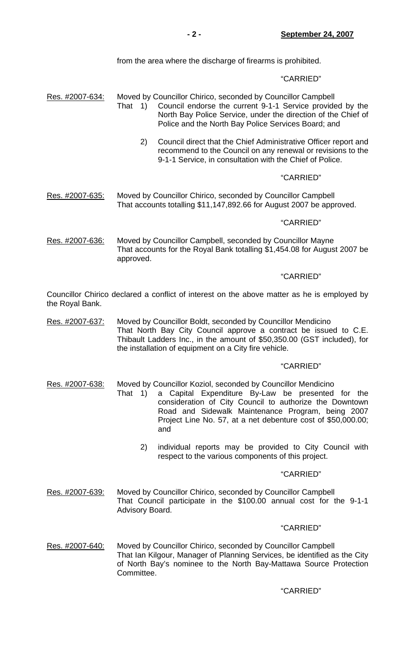from the area where the discharge of firearms is prohibited.

## "CARRIED"

- Res. #2007-634: Moved by Councillor Chirico, seconded by Councillor Campbell That 1) Council endorse the current 9-1-1 Service provided by the North Bay Police Service, under the direction of the Chief of Police and the North Bay Police Services Board; and
	- 2) Council direct that the Chief Administrative Officer report and recommend to the Council on any renewal or revisions to the 9-1-1 Service, in consultation with the Chief of Police.

### "CARRIED"

Res. #2007-635: Moved by Councillor Chirico, seconded by Councillor Campbell That accounts totalling \$11,147,892.66 for August 2007 be approved.

### "CARRIED"

Res. #2007-636: Moved by Councillor Campbell, seconded by Councillor Mayne That accounts for the Royal Bank totalling \$1,454.08 for August 2007 be approved.

### "CARRIED"

Councillor Chirico declared a conflict of interest on the above matter as he is employed by the Royal Bank.

Res. #2007-637: Moved by Councillor Boldt, seconded by Councillor Mendicino That North Bay City Council approve a contract be issued to C.E. Thibault Ladders Inc., in the amount of \$50,350.00 (GST included), for the installation of equipment on a City fire vehicle.

# "CARRIED"

Res. #2007-638: Moved by Councillor Koziol, seconded by Councillor Mendicino

- That 1) a Capital Expenditure By-Law be presented for the consideration of City Council to authorize the Downtown Road and Sidewalk Maintenance Program, being 2007 Project Line No. 57, at a net debenture cost of \$50,000.00; and
	- 2) individual reports may be provided to City Council with respect to the various components of this project.

### "CARRIED"

Res. #2007-639: Moved by Councillor Chirico, seconded by Councillor Campbell That Council participate in the \$100.00 annual cost for the 9-1-1 Advisory Board.

#### "CARRIED"

Res. #2007-640: Moved by Councillor Chirico, seconded by Councillor Campbell That Ian Kilgour, Manager of Planning Services, be identified as the City of North Bay's nominee to the North Bay-Mattawa Source Protection Committee.

# "CARRIED"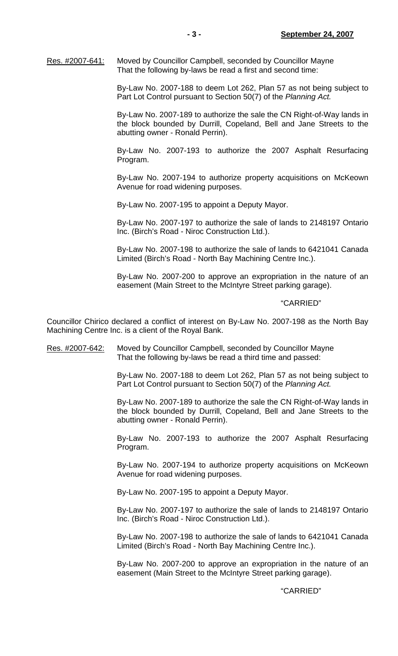Res. #2007-641: Moved by Councillor Campbell, seconded by Councillor Mayne That the following by-laws be read a first and second time:

> By-Law No. 2007-188 to deem Lot 262, Plan 57 as not being subject to Part Lot Control pursuant to Section 50(7) of the *Planning Act.*

> By-Law No. 2007-189 to authorize the sale the CN Right-of-Way lands in the block bounded by Durrill, Copeland, Bell and Jane Streets to the abutting owner - Ronald Perrin).

> By-Law No. 2007-193 to authorize the 2007 Asphalt Resurfacing Program.

> By-Law No. 2007-194 to authorize property acquisitions on McKeown Avenue for road widening purposes.

By-Law No. 2007-195 to appoint a Deputy Mayor.

 By-Law No. 2007-197 to authorize the sale of lands to 2148197 Ontario Inc. (Birch's Road - Niroc Construction Ltd.).

 By-Law No. 2007-198 to authorize the sale of lands to 6421041 Canada Limited (Birch's Road - North Bay Machining Centre Inc.).

 By-Law No. 2007-200 to approve an expropriation in the nature of an easement (Main Street to the McIntyre Street parking garage).

### "CARRIED"

Councillor Chirico declared a conflict of interest on By-Law No. 2007-198 as the North Bay Machining Centre Inc. is a client of the Royal Bank.

# Res. #2007-642: Moved by Councillor Campbell, seconded by Councillor Mayne That the following by-laws be read a third time and passed:

 By-Law No. 2007-188 to deem Lot 262, Plan 57 as not being subject to Part Lot Control pursuant to Section 50(7) of the *Planning Act.*

 By-Law No. 2007-189 to authorize the sale the CN Right-of-Way lands in the block bounded by Durrill, Copeland, Bell and Jane Streets to the abutting owner - Ronald Perrin).

 By-Law No. 2007-193 to authorize the 2007 Asphalt Resurfacing Program.

 By-Law No. 2007-194 to authorize property acquisitions on McKeown Avenue for road widening purposes.

By-Law No. 2007-195 to appoint a Deputy Mayor.

 By-Law No. 2007-197 to authorize the sale of lands to 2148197 Ontario Inc. (Birch's Road - Niroc Construction Ltd.).

 By-Law No. 2007-198 to authorize the sale of lands to 6421041 Canada Limited (Birch's Road - North Bay Machining Centre Inc.).

 By-Law No. 2007-200 to approve an expropriation in the nature of an easement (Main Street to the McIntyre Street parking garage).

### "CARRIED"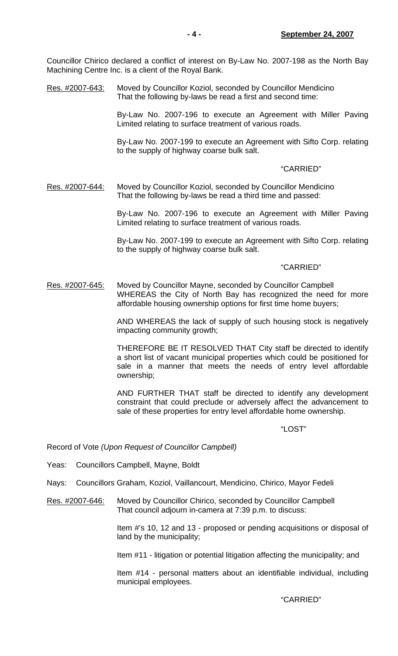Councillor Chirico declared a conflict of interest on By-Law No. 2007-198 as the North Bay Machining Centre Inc. is a client of the Royal Bank.

Res. #2007-643: Moved by Councillor Koziol, seconded by Councillor Mendicino That the following by-laws be read a first and second time:

> By-Law No. 2007-196 to execute an Agreement with Miller Paving Limited relating to surface treatment of various roads.

> By-Law No. 2007-199 to execute an Agreement with Sifto Corp. relating to the supply of highway coarse bulk salt.

### "CARRIED"

Res. #2007-644: Moved by Councillor Koziol, seconded by Councillor Mendicino That the following by-laws be read a third time and passed:

> By-Law No. 2007-196 to execute an Agreement with Miller Paving Limited relating to surface treatment of various roads.

> By-Law No. 2007-199 to execute an Agreement with Sifto Corp. relating to the supply of highway coarse bulk salt.

### "CARRIED"

Res. #2007-645: Moved by Councillor Mayne, seconded by Councillor Campbell WHEREAS the City of North Bay has recognized the need for more affordable housing ownership options for first time home buyers;

> AND WHEREAS the lack of supply of such housing stock is negatively impacting community growth;

> THEREFORE BE IT RESOLVED THAT City staff be directed to identify a short list of vacant municipal properties which could be positioned for sale in a manner that meets the needs of entry level affordable ownership;

> AND FURTHER THAT staff be directed to identify any development constraint that could preclude or adversely affect the advancement to sale of these properties for entry level affordable home ownership.

"LOST"

Record of Vote *(Upon Request of Councillor Campbell)*

Yeas: Councillors Campbell, Mayne, Boldt

Nays: Councillors Graham, Koziol, Vaillancourt, Mendicino, Chirico, Mayor Fedeli

Res. #2007-646: Moved by Councillor Chirico, seconded by Councillor Campbell That council adjourn in-camera at 7:39 p.m. to discuss:

> Item #'s 10, 12 and 13 - proposed or pending acquisitions or disposal of land by the municipality;

Item #11 - litigation or potential litigation affecting the municipality; and

 Item #14 - personal matters about an identifiable individual, including municipal employees.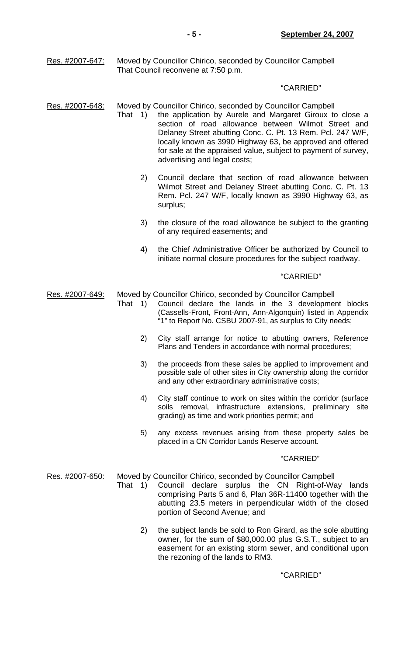Res. #2007-647: Moved by Councillor Chirico, seconded by Councillor Campbell That Council reconvene at 7:50 p.m.

### "CARRIED"

- Res. #2007-648: Moved by Councillor Chirico, seconded by Councillor Campbell
	- That 1) the application by Aurele and Margaret Giroux to close a section of road allowance between Wilmot Street and Delaney Street abutting Conc. C. Pt. 13 Rem. Pcl. 247 W/F, locally known as 3990 Highway 63, be approved and offered for sale at the appraised value, subject to payment of survey, advertising and legal costs;
		- 2) Council declare that section of road allowance between Wilmot Street and Delaney Street abutting Conc. C. Pt. 13 Rem. Pcl. 247 W/F, locally known as 3990 Highway 63, as surplus;
		- 3) the closure of the road allowance be subject to the granting of any required easements; and
		- 4) the Chief Administrative Officer be authorized by Council to initiate normal closure procedures for the subject roadway.

## "CARRIED"

Res. #2007-649: Moved by Councillor Chirico, seconded by Councillor Campbell

- That 1) Council declare the lands in the 3 development blocks (Cassells-Front, Front-Ann, Ann-Algonquin) listed in Appendix "1" to Report No. CSBU 2007-91, as surplus to City needs;
	- 2) City staff arrange for notice to abutting owners, Reference Plans and Tenders in accordance with normal procedures;
	- 3) the proceeds from these sales be applied to improvement and possible sale of other sites in City ownership along the corridor and any other extraordinary administrative costs;
	- 4) City staff continue to work on sites within the corridor (surface soils removal, infrastructure extensions, preliminary site grading) as time and work priorities permit; and
	- 5) any excess revenues arising from these property sales be placed in a CN Corridor Lands Reserve account.

### "CARRIED"

Res. #2007-650: Moved by Councillor Chirico, seconded by Councillor Campbell

- That 1) Council declare surplus the CN Right-of-Way lands comprising Parts 5 and 6, Plan 36R-11400 together with the abutting 23.5 meters in perpendicular width of the closed portion of Second Avenue; and
	- 2) the subject lands be sold to Ron Girard, as the sole abutting owner, for the sum of \$80,000.00 plus G.S.T., subject to an easement for an existing storm sewer, and conditional upon the rezoning of the lands to RM3.

# "CARRIED"